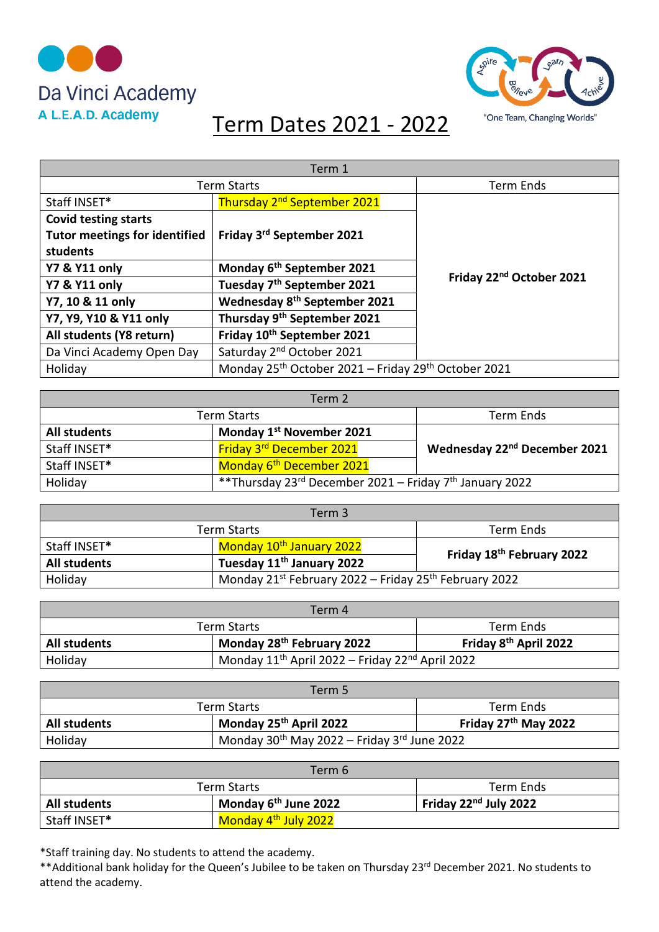



## Term Dates 2021 - 2022

| Term 1                               |                                                                             |                                      |
|--------------------------------------|-----------------------------------------------------------------------------|--------------------------------------|
|                                      | <b>Term Starts</b>                                                          | <b>Term Ends</b>                     |
| Staff INSET*                         | Thursday 2 <sup>nd</sup> September 2021                                     |                                      |
| <b>Covid testing starts</b>          |                                                                             |                                      |
| <b>Tutor meetings for identified</b> | Friday 3rd September 2021                                                   |                                      |
| students                             |                                                                             |                                      |
| <b>Y7 &amp; Y11 only</b>             | Monday 6 <sup>th</sup> September 2021                                       | Friday 22 <sup>nd</sup> October 2021 |
| <b>Y7 &amp; Y11 only</b>             | Tuesday 7 <sup>th</sup> September 2021                                      |                                      |
| Y7, 10 & 11 only                     | Wednesday 8 <sup>th</sup> September 2021                                    |                                      |
| Y7, Y9, Y10 & Y11 only               | Thursday 9th September 2021                                                 |                                      |
| All students (Y8 return)             | Friday 10 <sup>th</sup> September 2021                                      |                                      |
| Da Vinci Academy Open Day            | Saturday 2 <sup>nd</sup> October 2021                                       |                                      |
| Holiday                              | Monday 25 <sup>th</sup> October 2021 - Friday 29 <sup>th</sup> October 2021 |                                      |

| Term 2              |                                                          |                                          |
|---------------------|----------------------------------------------------------|------------------------------------------|
|                     | <b>Term Starts</b>                                       | Term Ends                                |
| <b>All students</b> | Monday 1 <sup>st</sup> November 2021                     |                                          |
| Staff INSET*        | <b>Friday 3<sup>rd</sup> December 2021</b>               | Wednesday 22 <sup>nd</sup> December 2021 |
| Staff INSET*        | Monday 6 <sup>th</sup> December 2021                     |                                          |
| Holiday             | ** Thursday 23rd December 2021 - Friday 7th January 2022 |                                          |

| Term 3              |                                                       |                                       |
|---------------------|-------------------------------------------------------|---------------------------------------|
|                     | Term Starts                                           | Term Ends                             |
| Staff INSET*        | Monday 10 <sup>th</sup> January 2022                  | Friday 18 <sup>th</sup> February 2022 |
| <b>All students</b> | Tuesday 11 <sup>th</sup> January 2022                 |                                       |
| Holiday             | Monday 21st February 2022 - Friday 25th February 2022 |                                       |

| Term 4       |                                                                         |                                   |
|--------------|-------------------------------------------------------------------------|-----------------------------------|
|              | Term Starts                                                             | Term Ends                         |
| All students | Monday 28 <sup>th</sup> February 2022                                   | Friday 8 <sup>th</sup> April 2022 |
| Holiday      | Monday 11 <sup>th</sup> April 2022 – Friday 22 <sup>nd</sup> April 2022 |                                   |

| Term 5              |                                                              |                                  |
|---------------------|--------------------------------------------------------------|----------------------------------|
|                     | Term Starts                                                  | Term Ends                        |
| <b>All students</b> | Monday 25 <sup>th</sup> April 2022                           | Friday 27 <sup>th</sup> May 2022 |
| Holiday             | Monday $30^{th}$ May 2022 – Friday 3 <sup>rd</sup> June 2022 |                                  |

| Term 6       |                                  |                                   |
|--------------|----------------------------------|-----------------------------------|
|              | Term Starts                      | Term Ends                         |
| All students | Monday 6 <sup>th</sup> June 2022 | Friday 22 <sup>nd</sup> July 2022 |
| Staff INSET* | Monday 4 <sup>th</sup> July 2022 |                                   |

\*Staff training day. No students to attend the academy.

\*\*Additional bank holiday for the Queen's Jubilee to be taken on Thursday 23<sup>rd</sup> December 2021. No students to attend the academy.